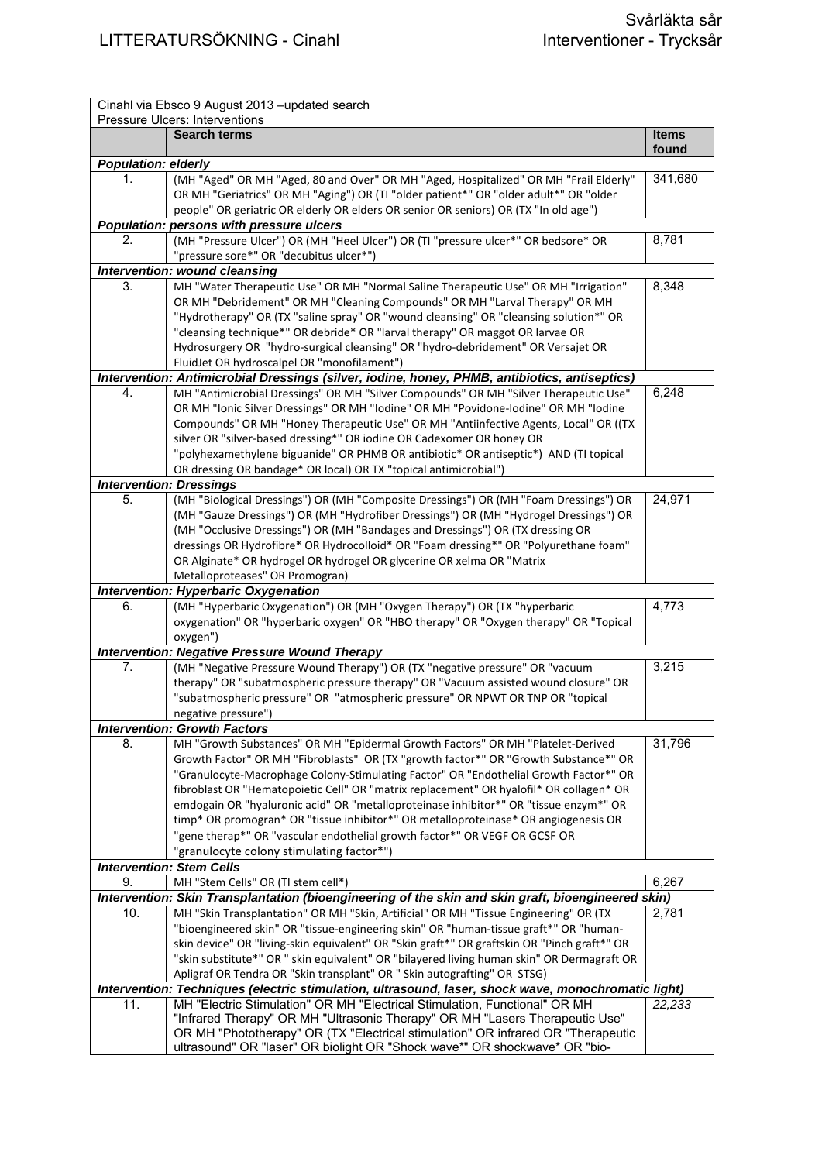|                            | Cinahl via Ebsco 9 August 2013 - updated search                                                                                                                               |              |
|----------------------------|-------------------------------------------------------------------------------------------------------------------------------------------------------------------------------|--------------|
|                            | Pressure Ulcers: Interventions<br><b>Search terms</b>                                                                                                                         | <b>Items</b> |
|                            |                                                                                                                                                                               | found        |
| <b>Population: elderly</b> |                                                                                                                                                                               |              |
| 1.                         | (MH "Aged" OR MH "Aged, 80 and Over" OR MH "Aged, Hospitalized" OR MH "Frail Elderly"                                                                                         | 341,680      |
|                            | OR MH "Geriatrics" OR MH "Aging") OR (TI "older patient*" OR "older adult*" OR "older                                                                                         |              |
|                            | people" OR geriatric OR elderly OR elders OR senior OR seniors) OR (TX "In old age")                                                                                          |              |
| 2.                         | Population: persons with pressure ulcers<br>(MH "Pressure Ulcer") OR (MH "Heel Ulcer") OR (TI "pressure ulcer*" OR bedsore* OR                                                | 8,781        |
|                            | "pressure sore*" OR "decubitus ulcer*")                                                                                                                                       |              |
|                            | Intervention: wound cleansing                                                                                                                                                 |              |
| 3.                         | MH "Water Therapeutic Use" OR MH "Normal Saline Therapeutic Use" OR MH "Irrigation"                                                                                           | 8,348        |
|                            | OR MH "Debridement" OR MH "Cleaning Compounds" OR MH "Larval Therapy" OR MH                                                                                                   |              |
|                            | "Hydrotherapy" OR (TX "saline spray" OR "wound cleansing" OR "cleansing solution*" OR                                                                                         |              |
|                            | "cleansing technique*" OR debride* OR "larval therapy" OR maggot OR larvae OR                                                                                                 |              |
|                            | Hydrosurgery OR "hydro-surgical cleansing" OR "hydro-debridement" OR Versajet OR                                                                                              |              |
|                            | FluidJet OR hydroscalpel OR "monofilament")                                                                                                                                   |              |
|                            | Intervention: Antimicrobial Dressings (silver, iodine, honey, PHMB, antibiotics, antiseptics)                                                                                 |              |
| 4.                         | MH "Antimicrobial Dressings" OR MH "Silver Compounds" OR MH "Silver Therapeutic Use"                                                                                          | 6,248        |
|                            | OR MH "Ionic Silver Dressings" OR MH "Iodine" OR MH "Povidone-Iodine" OR MH "Iodine                                                                                           |              |
|                            | Compounds" OR MH "Honey Therapeutic Use" OR MH "Antiinfective Agents, Local" OR ((TX                                                                                          |              |
|                            | silver OR "silver-based dressing*" OR iodine OR Cadexomer OR honey OR                                                                                                         |              |
|                            | "polyhexamethylene biguanide" OR PHMB OR antibiotic* OR antiseptic*) AND (TI topical<br>OR dressing OR bandage* OR local) OR TX "topical antimicrobial")                      |              |
|                            | <b>Intervention: Dressings</b>                                                                                                                                                |              |
| 5.                         | (MH "Biological Dressings") OR (MH "Composite Dressings") OR (MH "Foam Dressings") OR                                                                                         | 24,971       |
|                            | (MH "Gauze Dressings") OR (MH "Hydrofiber Dressings") OR (MH "Hydrogel Dressings") OR                                                                                         |              |
|                            | (MH "Occlusive Dressings") OR (MH "Bandages and Dressings") OR (TX dressing OR                                                                                                |              |
|                            | dressings OR Hydrofibre* OR Hydrocolloid* OR "Foam dressing*" OR "Polyurethane foam"                                                                                          |              |
|                            | OR Alginate* OR hydrogel OR hydrogel OR glycerine OR xelma OR "Matrix                                                                                                         |              |
|                            | Metalloproteases" OR Promogran)                                                                                                                                               |              |
|                            | <b>Intervention: Hyperbaric Oxygenation</b>                                                                                                                                   |              |
| 6.                         | (MH "Hyperbaric Oxygenation") OR (MH "Oxygen Therapy") OR (TX "hyperbaric                                                                                                     | 4,773        |
|                            | oxygenation" OR "hyperbaric oxygen" OR "HBO therapy" OR "Oxygen therapy" OR "Topical                                                                                          |              |
|                            | oxygen")                                                                                                                                                                      |              |
|                            | <b>Intervention: Negative Pressure Wound Therapy</b>                                                                                                                          |              |
| 7.                         | (MH "Negative Pressure Wound Therapy") OR (TX "negative pressure" OR "vacuum<br>therapy" OR "subatmospheric pressure therapy" OR "Vacuum assisted wound closure" OR           | 3,215        |
|                            | "subatmospheric pressure" OR "atmospheric pressure" OR NPWT OR TNP OR "topical                                                                                                |              |
|                            | negative pressure")                                                                                                                                                           |              |
|                            | <b>Intervention: Growth Factors</b>                                                                                                                                           |              |
| 8.                         | MH "Growth Substances" OR MH "Epidermal Growth Factors" OR MH "Platelet-Derived                                                                                               | 31,796       |
|                            | Growth Factor" OR MH "Fibroblasts" OR (TX "growth factor*" OR "Growth Substance*" OR                                                                                          |              |
|                            | "Granulocyte-Macrophage Colony-Stimulating Factor" OR "Endothelial Growth Factor*" OR                                                                                         |              |
|                            | fibroblast OR "Hematopoietic Cell" OR "matrix replacement" OR hyalofil* OR collagen* OR                                                                                       |              |
|                            | emdogain OR "hyaluronic acid" OR "metalloproteinase inhibitor*" OR "tissue enzym*" OR                                                                                         |              |
|                            | timp* OR promogran* OR "tissue inhibitor*" OR metalloproteinase* OR angiogenesis OR                                                                                           |              |
|                            | "gene therap*" OR "vascular endothelial growth factor*" OR VEGF OR GCSF OR                                                                                                    |              |
|                            | "granulocyte colony stimulating factor*")                                                                                                                                     |              |
|                            | <b>Intervention: Stem Cells</b>                                                                                                                                               |              |
| 9.                         | MH "Stem Cells" OR (TI stem cell*)                                                                                                                                            | 6,267        |
|                            | Intervention: Skin Transplantation (bioengineering of the skin and skin graft, bioengineered skin)                                                                            |              |
| 10.                        | MH "Skin Transplantation" OR MH "Skin, Artificial" OR MH "Tissue Engineering" OR (TX<br>"bioengineered skin" OR "tissue-engineering skin" OR "human-tissue graft*" OR "human- | 2,781        |
|                            | skin device" OR "living-skin equivalent" OR "Skin graft*" OR graftskin OR "Pinch graft*" OR                                                                                   |              |
|                            | "skin substitute*" OR " skin equivalent" OR "bilayered living human skin" OR Dermagraft OR                                                                                    |              |
|                            | Apligraf OR Tendra OR "Skin transplant" OR " Skin autografting" OR STSG)                                                                                                      |              |
|                            | Intervention: Techniques (electric stimulation, ultrasound, laser, shock wave, monochromatic light)                                                                           |              |
| 11.                        | MH "Electric Stimulation" OR MH "Electrical Stimulation, Functional" OR MH                                                                                                    | 22,233       |
|                            | "Infrared Therapy" OR MH "Ultrasonic Therapy" OR MH "Lasers Therapeutic Use"                                                                                                  |              |
|                            | OR MH "Phototherapy" OR (TX "Electrical stimulation" OR infrared OR "Therapeutic                                                                                              |              |
|                            | ultrasound" OR "laser" OR biolight OR "Shock wave*" OR shockwave* OR "bio-                                                                                                    |              |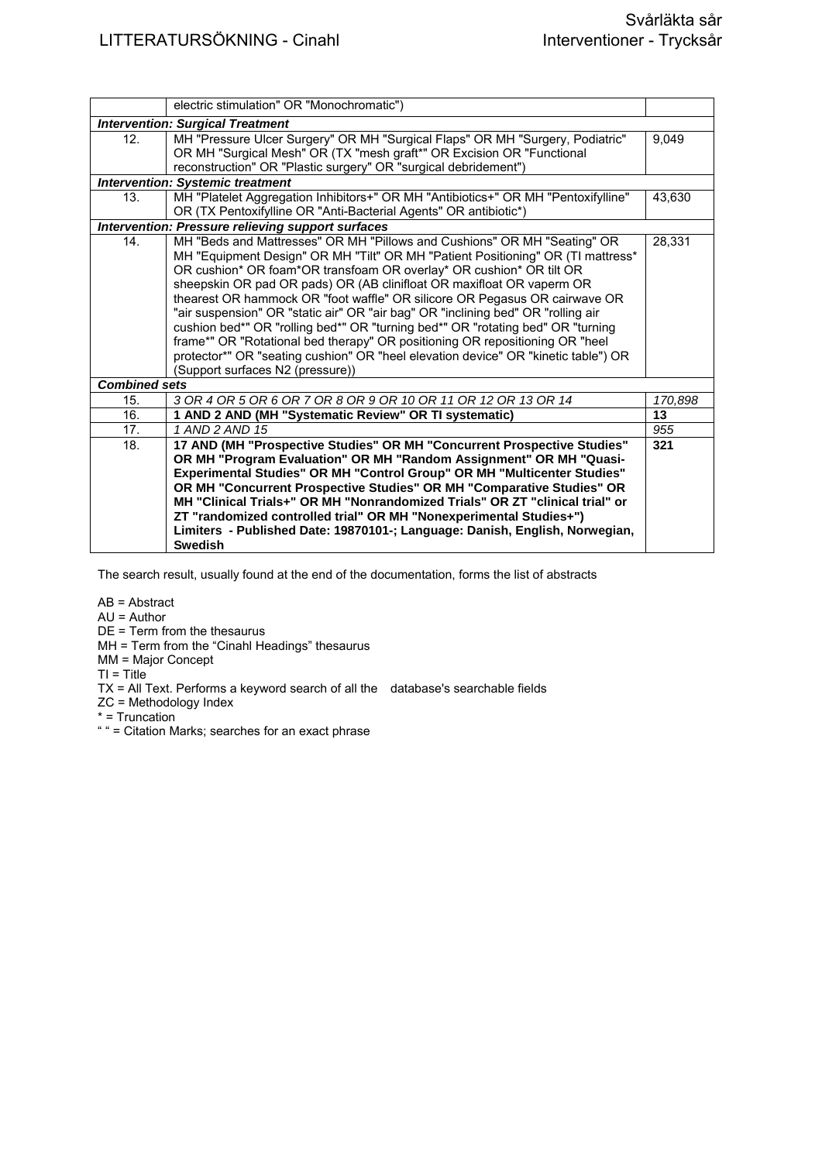|                      | electric stimulation" OR "Monochromatic")                                          |         |
|----------------------|------------------------------------------------------------------------------------|---------|
|                      | <b>Intervention: Surgical Treatment</b>                                            |         |
| 12.                  | MH "Pressure Ulcer Surgery" OR MH "Surgical Flaps" OR MH "Surgery, Podiatric"      | 9.049   |
|                      | OR MH "Surgical Mesh" OR (TX "mesh graft*" OR Excision OR "Functional              |         |
|                      | reconstruction" OR "Plastic surgery" OR "surgical debridement")                    |         |
|                      | <b>Intervention: Systemic treatment</b>                                            |         |
| 13.                  | MH "Platelet Aggregation Inhibitors+" OR MH "Antibiotics+" OR MH "Pentoxifylline"  | 43,630  |
|                      | OR (TX Pentoxifylline OR "Anti-Bacterial Agents" OR antibiotic*)                   |         |
|                      | <b>Intervention: Pressure relieving support surfaces</b>                           |         |
| 14 <sub>1</sub>      | MH "Beds and Mattresses" OR MH "Pillows and Cushions" OR MH "Seating" OR           | 28,331  |
|                      | MH "Equipment Design" OR MH "Tilt" OR MH "Patient Positioning" OR (TI mattress*    |         |
|                      | OR cushion* OR foam*OR transfoam OR overlay* OR cushion* OR tilt OR                |         |
|                      | sheepskin OR pad OR pads) OR (AB clinifloat OR maxifloat OR vaperm OR              |         |
|                      | thearest OR hammock OR "foot waffle" OR silicore OR Pegasus OR cairwave OR         |         |
|                      | "air suspension" OR "static air" OR "air bag" OR "inclining bed" OR "rolling air   |         |
|                      | cushion bed*" OR "rolling bed*" OR "turning bed*" OR "rotating bed" OR "turning    |         |
|                      | frame*" OR "Rotational bed therapy" OR positioning OR repositioning OR "heel       |         |
|                      | protector*" OR "seating cushion" OR "heel elevation device" OR "kinetic table") OR |         |
|                      | (Support surfaces N2 (pressure))                                                   |         |
| <b>Combined sets</b> |                                                                                    |         |
| 15.                  | 3 OR 4 OR 5 OR 6 OR 7 OR 8 OR 9 OR 10 OR 11 OR 12 OR 13 OR 14                      | 170,898 |
| 16.                  | 1 AND 2 AND (MH "Systematic Review" OR TI systematic)                              | 13      |
| 17.                  | 1 AND 2 AND 15                                                                     | 955     |
| 18.                  | 17 AND (MH "Prospective Studies" OR MH "Concurrent Prospective Studies"            | 321     |
|                      | OR MH "Program Evaluation" OR MH "Random Assignment" OR MH "Quasi-                 |         |
|                      | Experimental Studies" OR MH "Control Group" OR MH "Multicenter Studies"            |         |
|                      | OR MH "Concurrent Prospective Studies" OR MH "Comparative Studies" OR              |         |
|                      | MH "Clinical Trials+" OR MH "Nonrandomized Trials" OR ZT "clinical trial" or       |         |
|                      | ZT "randomized controlled trial" OR MH "Nonexperimental Studies+")                 |         |
|                      | Limiters - Published Date: 19870101-; Language: Danish, English, Norwegian,        |         |
|                      | <b>Swedish</b>                                                                     |         |

The search result, usually found at the end of the documentation, forms the list of abstracts

AB = Abstract

AU = Author

DE = Term from the thesaurus

MH = Term from the "Cinahl Headings" thesaurus

MM = Major Concept

 $TI = Title$ 

TX = All Text. Performs a keyword search of all the database's searchable fields

ZC = Methodology Index

\* = Truncation

" " = Citation Marks; searches for an exact phrase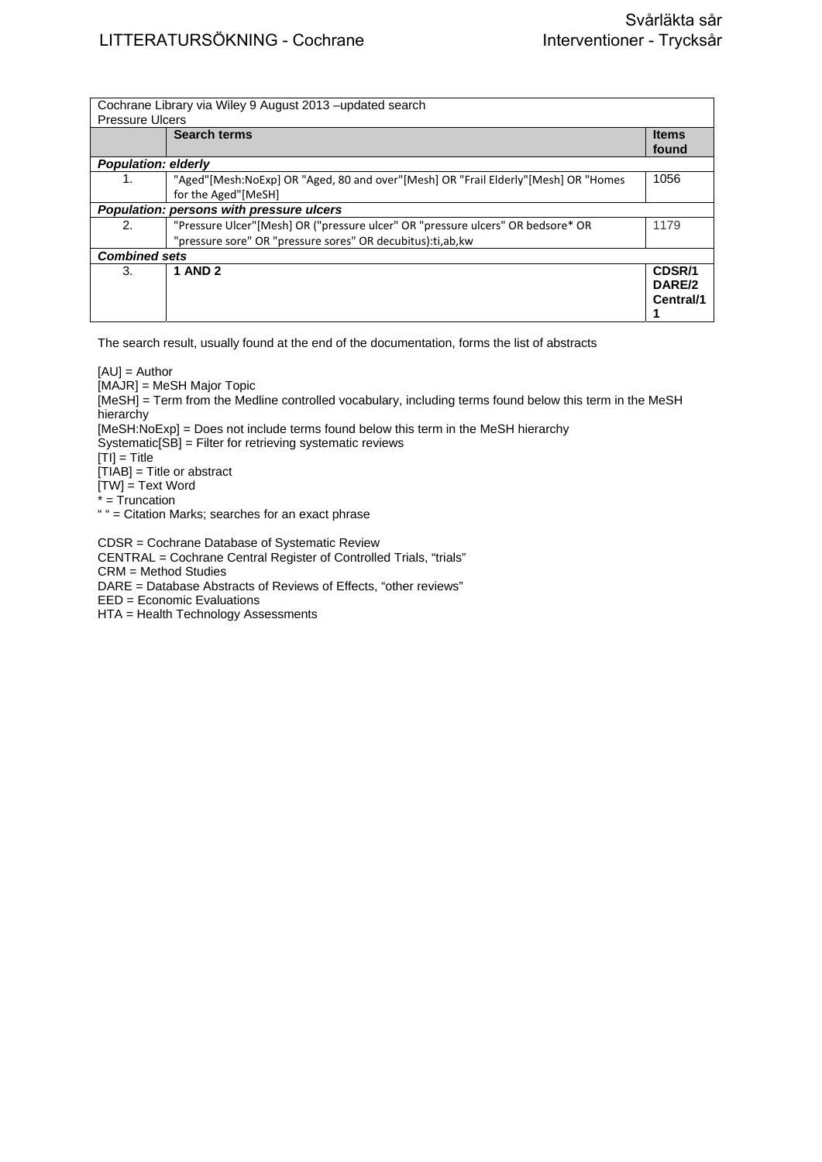|                            | Cochrane Library via Wiley 9 August 2013 – updated search                          |              |
|----------------------------|------------------------------------------------------------------------------------|--------------|
| <b>Pressure Ulcers</b>     |                                                                                    |              |
|                            | <b>Search terms</b>                                                                | <b>Items</b> |
|                            |                                                                                    |              |
|                            |                                                                                    | found        |
| <b>Population: elderly</b> |                                                                                    |              |
| 1.                         | "Aged"[Mesh:NoExp] OR "Aged, 80 and over"[Mesh] OR "Frail Elderly"[Mesh] OR "Homes | 1056         |
|                            | for the Aged"[MeSH]                                                                |              |
|                            | Population: persons with pressure ulcers                                           |              |
| 2.                         | "Pressure Ulcer"[Mesh] OR ("pressure ulcer" OR "pressure ulcers" OR bedsore* OR    | 1179         |
|                            | "pressure sore" OR "pressure sores" OR decubitus): ti, ab, kw                      |              |
| <b>Combined sets</b>       |                                                                                    |              |
| 3.                         | <b>1 AND 2</b>                                                                     | CDSR/1       |
|                            |                                                                                    | DARE/2       |
|                            |                                                                                    | Central/1    |
|                            |                                                                                    |              |
|                            |                                                                                    |              |

The search result, usually found at the end of the documentation, forms the list of abstracts

 $[AU] =$  Author

[MAJR] = MeSH Major Topic

[MeSH] = Term from the Medline controlled vocabulary, including terms found below this term in the MeSH **hierarchy** 

[MeSH:NoExp] = Does not include terms found below this term in the MeSH hierarchy

Systematic[SB] = Filter for retrieving systematic reviews

 $[T<sub>II</sub>] = T$ itle

 $[TIAB] =$  Title or abstract

[TW] = Text Word

 $* = \overline{T}$ runcation

" " = Citation Marks; searches for an exact phrase

CDSR = Cochrane Database of Systematic Review CENTRAL = Cochrane Central Register of Controlled Trials, "trials" CRM = Method Studies DARE = Database Abstracts of Reviews of Effects, "other reviews" EED = Economic Evaluations HTA = Health Technology Assessments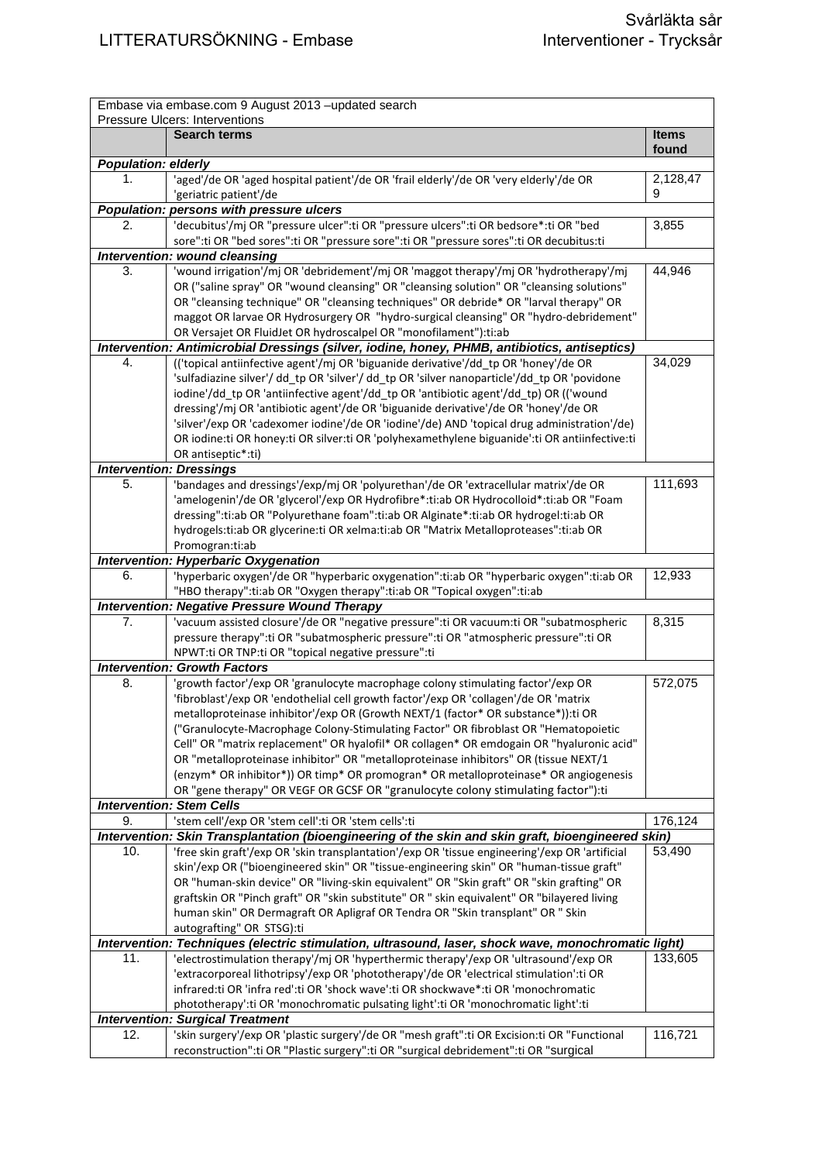| Embase via embase.com 9 August 2013 - updated search<br>Pressure Ulcers: Interventions |                                                                                                     |                       |
|----------------------------------------------------------------------------------------|-----------------------------------------------------------------------------------------------------|-----------------------|
|                                                                                        | <b>Search terms</b>                                                                                 | <b>Items</b><br>found |
| <b>Population: elderly</b>                                                             |                                                                                                     |                       |
| 1.                                                                                     | 'aged'/de OR 'aged hospital patient'/de OR 'frail elderly'/de OR 'very elderly'/de OR               | 2,128,47              |
|                                                                                        | 'geriatric patient'/de                                                                              | 9                     |
|                                                                                        | Population: persons with pressure ulcers                                                            |                       |
| 2.                                                                                     | 'decubitus'/mj OR "pressure ulcer":ti OR "pressure ulcers":ti OR bedsore*:ti OR "bed                | 3,855                 |
|                                                                                        | sore":ti OR "bed sores":ti OR "pressure sore":ti OR "pressure sores":ti OR decubitus:ti             |                       |
|                                                                                        | Intervention: wound cleansing                                                                       |                       |
| 3.                                                                                     | 'wound irrigation'/mj OR 'debridement'/mj OR 'maggot therapy'/mj OR 'hydrotherapy'/mj               | 44,946                |
|                                                                                        | OR ("saline spray" OR "wound cleansing" OR "cleansing solution" OR "cleansing solutions"            |                       |
|                                                                                        | OR "cleansing technique" OR "cleansing techniques" OR debride* OR "larval therapy" OR               |                       |
|                                                                                        | maggot OR larvae OR Hydrosurgery OR "hydro-surgical cleansing" OR "hydro-debridement"               |                       |
|                                                                                        | OR Versajet OR FluidJet OR hydroscalpel OR "monofilament"): ti:ab                                   |                       |
|                                                                                        | Intervention: Antimicrobial Dressings (silver, iodine, honey, PHMB, antibiotics, antiseptics)       |                       |
| 4.                                                                                     | (('topical antiinfective agent'/mj OR 'biguanide derivative'/dd tp OR 'honey'/de OR                 | 34,029                |
|                                                                                        | 'sulfadiazine silver'/ dd_tp OR 'silver'/ dd_tp OR 'silver nanoparticle'/dd_tp OR 'povidone         |                       |
|                                                                                        | iodine'/dd tp OR 'antiinfective agent'/dd tp OR 'antibiotic agent'/dd tp) OR (('wound               |                       |
|                                                                                        | dressing'/mj OR 'antibiotic agent'/de OR 'biguanide derivative'/de OR 'honey'/de OR                 |                       |
|                                                                                        | 'silver'/exp OR 'cadexomer iodine'/de OR 'iodine'/de) AND 'topical drug administration'/de)         |                       |
|                                                                                        | OR iodine:ti OR honey:ti OR silver:ti OR 'polyhexamethylene biguanide':ti OR antiinfective:ti       |                       |
|                                                                                        | OR antiseptic*:ti)                                                                                  |                       |
|                                                                                        | <b>Intervention: Dressings</b>                                                                      |                       |
| 5.                                                                                     | 'bandages and dressings'/exp/mj OR 'polyurethan'/de OR 'extracellular matrix'/de OR                 | 111,693               |
|                                                                                        | 'amelogenin'/de OR 'glycerol'/exp OR Hydrofibre*:ti:ab OR Hydrocolloid*:ti:ab OR "Foam              |                       |
|                                                                                        | dressing":ti:ab OR "Polyurethane foam":ti:ab OR Alginate*:ti:ab OR hydrogel:ti:ab OR                |                       |
|                                                                                        | hydrogels:ti:ab OR glycerine:ti OR xelma:ti:ab OR "Matrix Metalloproteases":ti:ab OR                |                       |
|                                                                                        | Promogran:ti:ab                                                                                     |                       |
|                                                                                        | <b>Intervention: Hyperbaric Oxygenation</b>                                                         |                       |
| 6.                                                                                     | 'hyperbaric oxygen'/de OR "hyperbaric oxygenation":ti:ab OR "hyperbaric oxygen":ti:ab OR            | 12,933                |
|                                                                                        | "HBO therapy":ti:ab OR "Oxygen therapy":ti:ab OR "Topical oxygen":ti:ab                             |                       |
|                                                                                        | <b>Intervention: Negative Pressure Wound Therapy</b>                                                |                       |
| 7.                                                                                     | 'vacuum assisted closure'/de OR "negative pressure":ti OR vacuum:ti OR "subatmospheric              | 8,315                 |
|                                                                                        | pressure therapy":ti OR "subatmospheric pressure":ti OR "atmospheric pressure":ti OR                |                       |
|                                                                                        | NPWT:ti OR TNP:ti OR "topical negative pressure":ti                                                 |                       |
|                                                                                        | <b>Intervention: Growth Factors</b>                                                                 |                       |
| 8.                                                                                     | 'growth factor'/exp OR 'granulocyte macrophage colony stimulating factor'/exp OR                    | 572,075               |
|                                                                                        | 'fibroblast'/exp OR 'endothelial cell growth factor'/exp OR 'collagen'/de OR 'matrix                |                       |
|                                                                                        | metalloproteinase inhibitor'/exp OR (Growth NEXT/1 (factor* OR substance*)):ti OR                   |                       |
|                                                                                        | ("Granulocyte-Macrophage Colony-Stimulating Factor" OR fibroblast OR "Hematopoietic                 |                       |
|                                                                                        | Cell" OR "matrix replacement" OR hyalofil* OR collagen* OR emdogain OR "hyaluronic acid"            |                       |
|                                                                                        | OR "metalloproteinase inhibitor" OR "metalloproteinase inhibitors" OR (tissue NEXT/1                |                       |
|                                                                                        | (enzym* OR inhibitor*)) OR timp* OR promogran* OR metalloproteinase* OR angiogenesis                |                       |
|                                                                                        | OR "gene therapy" OR VEGF OR GCSF OR "granulocyte colony stimulating factor"):ti                    |                       |
|                                                                                        | <b>Intervention: Stem Cells</b>                                                                     |                       |
| 9.                                                                                     | 'stem cell'/exp OR 'stem cell':ti OR 'stem cells':ti                                                | 176,124               |
|                                                                                        | Intervention: Skin Transplantation (bioengineering of the skin and skin graft, bioengineered skin)  |                       |
| 10.                                                                                    | 'free skin graft'/exp OR 'skin transplantation'/exp OR 'tissue engineering'/exp OR 'artificial      | 53,490                |
|                                                                                        | skin'/exp OR ("bioengineered skin" OR "tissue-engineering skin" OR "human-tissue graft"             |                       |
|                                                                                        | OR "human-skin device" OR "living-skin equivalent" OR "Skin graft" OR "skin grafting" OR            |                       |
|                                                                                        | graftskin OR "Pinch graft" OR "skin substitute" OR " skin equivalent" OR "bilayered living          |                       |
|                                                                                        | human skin" OR Dermagraft OR Apligraf OR Tendra OR "Skin transplant" OR " Skin                      |                       |
|                                                                                        | autografting" OR STSG):ti                                                                           |                       |
|                                                                                        | Intervention: Techniques (electric stimulation, ultrasound, laser, shock wave, monochromatic light) |                       |
| 11.                                                                                    | 'electrostimulation therapy'/mj OR 'hyperthermic therapy'/exp OR 'ultrasound'/exp OR                | 133,605               |
|                                                                                        | 'extracorporeal lithotripsy'/exp OR 'phototherapy'/de OR 'electrical stimulation':ti OR             |                       |
|                                                                                        | infrared:ti OR 'infra red':ti OR 'shock wave':ti OR shockwave*:ti OR 'monochromatic                 |                       |
|                                                                                        | phototherapy':ti OR 'monochromatic pulsating light':ti OR 'monochromatic light':ti                  |                       |
|                                                                                        | <b>Intervention: Surgical Treatment</b>                                                             |                       |
| 12.                                                                                    | 'skin surgery'/exp OR 'plastic surgery'/de OR "mesh graft":ti OR Excision:ti OR "Functional         | 116,721               |
|                                                                                        | reconstruction":ti OR "Plastic surgery":ti OR "surgical debridement":ti OR "surgical                |                       |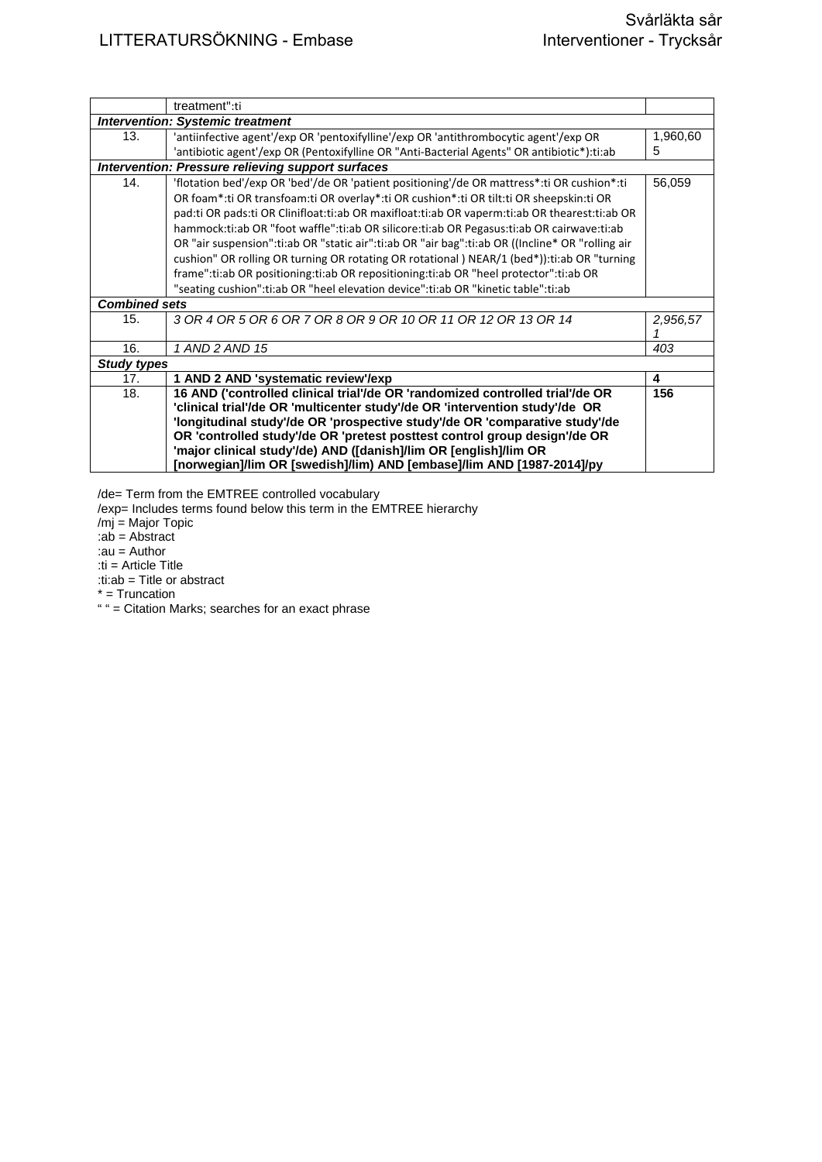|                      | treatment":ti                                                                                    |          |
|----------------------|--------------------------------------------------------------------------------------------------|----------|
|                      | <b>Intervention: Systemic treatment</b>                                                          |          |
| 13.                  | 'antiinfective agent'/exp OR 'pentoxifylline'/exp OR 'antithrombocytic agent'/exp OR             | 1,960,60 |
|                      | 'antibiotic agent'/exp OR (Pentoxifylline OR "Anti-Bacterial Agents" OR antibiotic*):ti:ab       | 5        |
|                      | <b>Intervention: Pressure relieving support surfaces</b>                                         |          |
| 14.                  | 'flotation bed'/exp OR 'bed'/de OR 'patient positioning'/de OR mattress*:ti OR cushion*:ti       | 56,059   |
|                      | OR foam*:ti OR transfoam:ti OR overlay*:ti OR cushion*:ti OR tilt:ti OR sheepskin:ti OR          |          |
|                      | pad:ti OR pads:ti OR Clinifloat:ti:ab OR maxifloat:ti:ab OR vaperm:ti:ab OR thearest:ti:ab OR    |          |
|                      | hammock:ti:ab OR "foot waffle":ti:ab OR silicore:ti:ab OR Pegasus:ti:ab OR cairwave:ti:ab        |          |
|                      | OR "air suspension":ti:ab OR "static air":ti:ab OR "air bag":ti:ab OR ((Incline* OR "rolling air |          |
|                      | cushion" OR rolling OR turning OR rotating OR rotational ) NEAR/1 (bed*)):ti:ab OR "turning      |          |
|                      | frame":ti:ab OR positioning:ti:ab OR repositioning:ti:ab OR "heel protector":ti:ab OR            |          |
|                      | "seating cushion":ti:ab OR "heel elevation device":ti:ab OR "kinetic table":ti:ab                |          |
| <b>Combined sets</b> |                                                                                                  |          |
| 15.                  | 3 OR 4 OR 5 OR 6 OR 7 OR 8 OR 9 OR 10 OR 11 OR 12 OR 13 OR 14                                    | 2,956,57 |
| 16.                  | 1 AND 2 AND 15                                                                                   | 403      |
| <b>Study types</b>   |                                                                                                  |          |
| 17.                  | 1 AND 2 AND 'systematic review'/exp                                                              | 4        |
| 18.                  | 16 AND ('controlled clinical trial'/de OR 'randomized controlled trial'/de OR                    | 156      |
|                      | 'clinical trial'/de OR 'multicenter study'/de OR 'intervention study'/de OR                      |          |
|                      | 'longitudinal study'/de OR 'prospective study'/de OR 'comparative study'/de                      |          |
|                      | OR 'controlled study'/de OR 'pretest posttest control group design'/de OR                        |          |
|                      | 'major clinical study'/de) AND ([danish]/lim OR [english]/lim OR                                 |          |
|                      | [norwegian]/lim OR [swedish]/lim) AND [embase]/lim AND [1987-2014]/py                            |          |

/de= Term from the EMTREE controlled vocabulary

/exp= Includes terms found below this term in the EMTREE hierarchy

/mj = Major Topic

:ab = Abstract

:au = Author

:ti = Article Title

:ti:ab = Title or abstract

\* = Truncation

" " = Citation Marks; searches for an exact phrase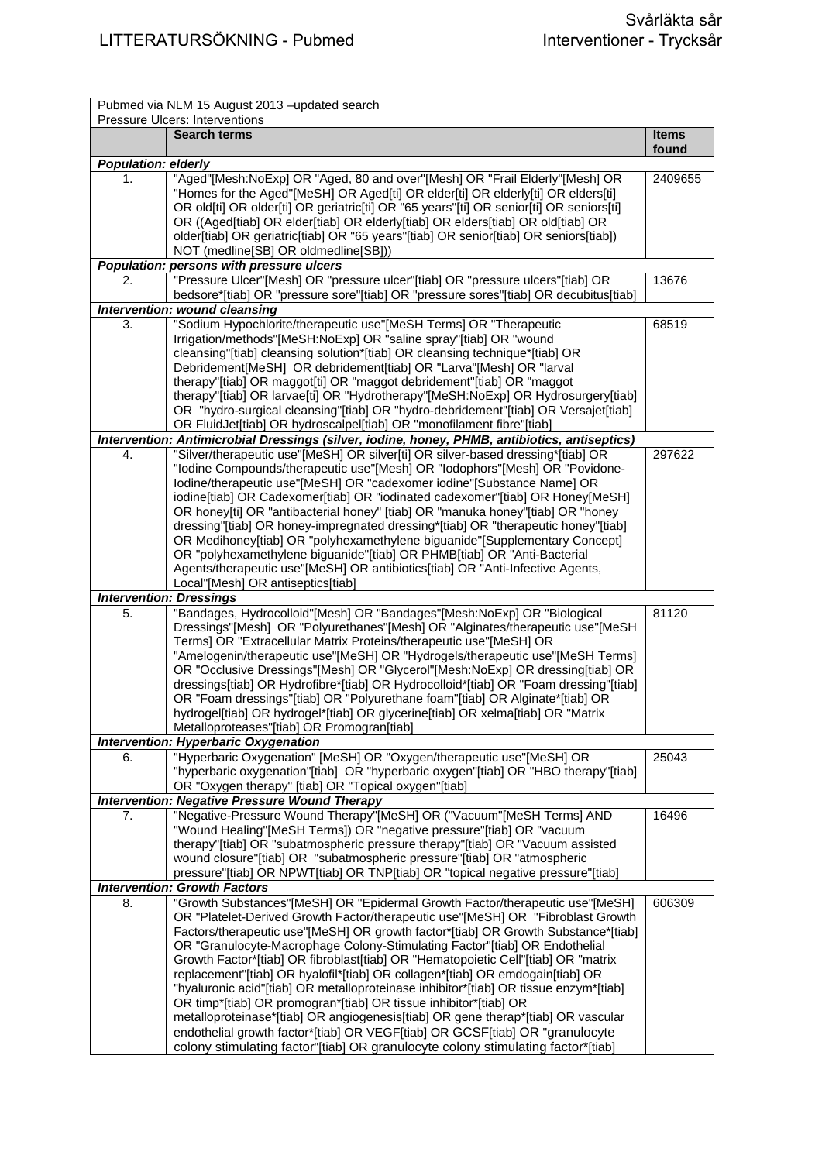| Pubmed via NLM 15 August 2013 - updated search<br>Pressure Ulcers: Interventions |                                                                                                                              |              |
|----------------------------------------------------------------------------------|------------------------------------------------------------------------------------------------------------------------------|--------------|
|                                                                                  | <b>Search terms</b>                                                                                                          | <b>Items</b> |
|                                                                                  |                                                                                                                              | found        |
| <b>Population: elderly</b>                                                       |                                                                                                                              |              |
| 1.                                                                               | "Aged"[Mesh:NoExp] OR "Aged, 80 and over"[Mesh] OR "Frail Elderly"[Mesh] OR                                                  | 2409655      |
|                                                                                  | "Homes for the Aged"[MeSH] OR Aged[ti] OR elder[ti] OR elderly[ti] OR elders[ti]                                             |              |
|                                                                                  | OR old[ti] OR older[ti] OR geriatric[ti] OR "65 years"[ti] OR senior[ti] OR seniors[ti]                                      |              |
|                                                                                  | OR ((Aged[tiab] OR elder[tiab] OR elderly[tiab] OR elders[tiab] OR old[tiab] OR                                              |              |
|                                                                                  | older[tiab] OR geriatric[tiab] OR "65 years"[tiab] OR senior[tiab] OR seniors[tiab])                                         |              |
|                                                                                  | NOT (medline[SB] OR oldmedline[SB]))<br>Population: persons with pressure ulcers                                             |              |
|                                                                                  | "Pressure Ulcer"[Mesh] OR "pressure ulcer"[tiab] OR "pressure ulcers"[tiab] OR                                               |              |
| 2.                                                                               | bedsore*[tiab] OR "pressure sore"[tiab] OR "pressure sores"[tiab] OR decubitus[tiab]                                         | 13676        |
|                                                                                  | Intervention: wound cleansing                                                                                                |              |
| 3.                                                                               | "Sodium Hypochlorite/therapeutic use"[MeSH Terms] OR "Therapeutic                                                            | 68519        |
|                                                                                  | Irrigation/methods"[MeSH:NoExp] OR "saline spray"[tiab] OR "wound                                                            |              |
|                                                                                  | cleansing"[tiab] cleansing solution*[tiab] OR cleansing technique*[tiab] OR                                                  |              |
|                                                                                  | Debridement[MeSH] OR debridement[tiab] OR "Larva"[Mesh] OR "larval                                                           |              |
|                                                                                  | therapy"[tiab] OR maggot[ti] OR "maggot debridement"[tiab] OR "maggot                                                        |              |
|                                                                                  | therapy"[tiab] OR larvae[ti] OR "Hydrotherapy"[MeSH:NoExp] OR Hydrosurgery[tiab]                                             |              |
|                                                                                  | OR "hydro-surgical cleansing"[tiab] OR "hydro-debridement"[tiab] OR Versajet[tiab]                                           |              |
|                                                                                  | OR FluidJet[tiab] OR hydroscalpel[tiab] OR "monofilament fibre"[tiab]                                                        |              |
|                                                                                  | Intervention: Antimicrobial Dressings (silver, iodine, honey, PHMB, antibiotics, antiseptics)                                |              |
| 4.                                                                               | "Silver/therapeutic use"[MeSH] OR silver[ti] OR silver-based dressing*[tiab] OR                                              | 297622       |
|                                                                                  | "Iodine Compounds/therapeutic use"[Mesh] OR "Iodophors"[Mesh] OR "Povidone-                                                  |              |
|                                                                                  | Iodine/therapeutic use"[MeSH] OR "cadexomer iodine"[Substance Name] OR                                                       |              |
|                                                                                  | iodine[tiab] OR Cadexomer[tiab] OR "iodinated cadexomer"[tiab] OR Honey[MeSH]                                                |              |
|                                                                                  | OR honey[ti] OR "antibacterial honey" [tiab] OR "manuka honey"[tiab] OR "honey                                               |              |
|                                                                                  | dressing"[tiab] OR honey-impregnated dressing*[tiab] OR "therapeutic honey"[tiab]                                            |              |
|                                                                                  | OR Medihoney[tiab] OR "polyhexamethylene biguanide"[Supplementary Concept]                                                   |              |
|                                                                                  | OR "polyhexamethylene biguanide"[tiab] OR PHMB[tiab] OR "Anti-Bacterial                                                      |              |
|                                                                                  | Agents/therapeutic use"[MeSH] OR antibiotics[tiab] OR "Anti-Infective Agents,                                                |              |
|                                                                                  | Local"[Mesh] OR antiseptics[tiab]                                                                                            |              |
|                                                                                  | <b>Intervention: Dressings</b>                                                                                               |              |
| 5.                                                                               | "Bandages, Hydrocolloid"[Mesh] OR "Bandages"[Mesh:NoExp] OR "Biological                                                      | 81120        |
|                                                                                  | Dressings"[Mesh] OR "Polyurethanes"[Mesh] OR "Alginates/therapeutic use"[MeSH                                                |              |
|                                                                                  | Terms] OR "Extracellular Matrix Proteins/therapeutic use"[MeSH] OR                                                           |              |
|                                                                                  | "Amelogenin/therapeutic use"[MeSH] OR "Hydrogels/therapeutic use"[MeSH Terms]                                                |              |
|                                                                                  | OR "Occlusive Dressings"[Mesh] OR "Glycerol"[Mesh:NoExp] OR dressing[tiab] OR                                                |              |
|                                                                                  | dressings[tiab] OR Hydrofibre*[tiab] OR Hydrocolloid*[tiab] OR "Foam dressing"[tiab]                                         |              |
|                                                                                  | OR "Foam dressings"[tiab] OR "Polyurethane foam"[tiab] OR Alginate*[tiab] OR                                                 |              |
|                                                                                  | hydrogel[tiab] OR hydrogel*[tiab] OR glycerine[tiab] OR xelma[tiab] OR "Matrix                                               |              |
|                                                                                  | Metalloproteases"[tiab] OR Promogran[tiab]                                                                                   |              |
|                                                                                  | <b>Intervention: Hyperbaric Oxygenation</b>                                                                                  |              |
| 6.                                                                               | "Hyperbaric Oxygenation" [MeSH] OR "Oxygen/therapeutic use"[MeSH] OR                                                         | 25043        |
|                                                                                  | "hyperbaric oxygenation"[tiab] OR "hyperbaric oxygen"[tiab] OR "HBO therapy"[tiab]                                           |              |
|                                                                                  | OR "Oxygen therapy" [tiab] OR "Topical oxygen"[tiab]                                                                         |              |
|                                                                                  | <b>Intervention: Negative Pressure Wound Therapy</b><br>"Negative-Pressure Wound Therapy"[MeSH] OR ("Vacuum"[MeSH Terms] AND | 16496        |
| 7.                                                                               | "Wound Healing"[MeSH Terms]) OR "negative pressure"[tiab] OR "vacuum                                                         |              |
|                                                                                  | therapy"[tiab] OR "subatmospheric pressure therapy"[tiab] OR "Vacuum assisted                                                |              |
|                                                                                  | wound closure"[tiab] OR "subatmospheric pressure"[tiab] OR "atmospheric                                                      |              |
|                                                                                  | pressure"[tiab] OR NPWT[tiab] OR TNP[tiab] OR "topical negative pressure"[tiab]                                              |              |
|                                                                                  | <b>Intervention: Growth Factors</b>                                                                                          |              |
| 8.                                                                               | "Growth Substances"[MeSH] OR "Epidermal Growth Factor/therapeutic use"[MeSH]                                                 | 606309       |
|                                                                                  | OR "Platelet-Derived Growth Factor/therapeutic use"[MeSH] OR "Fibroblast Growth                                              |              |
|                                                                                  | Factors/therapeutic use"[MeSH] OR growth factor*[tiab] OR Growth Substance*[tiab]                                            |              |
|                                                                                  | OR "Granulocyte-Macrophage Colony-Stimulating Factor"[tiab] OR Endothelial                                                   |              |
|                                                                                  | Growth Factor*[tiab] OR fibroblast[tiab] OR "Hematopoietic Cell"[tiab] OR "matrix                                            |              |
|                                                                                  | replacement"[tiab] OR hyalofil*[tiab] OR collagen*[tiab] OR emdogain[tiab] OR                                                |              |
|                                                                                  | "hyaluronic acid"[tiab] OR metalloproteinase inhibitor*[tiab] OR tissue enzym*[tiab]                                         |              |
|                                                                                  | OR timp*[tiab] OR promogran*[tiab] OR tissue inhibitor*[tiab] OR                                                             |              |
|                                                                                  | metalloproteinase*[tiab] OR angiogenesis[tiab] OR gene therap*[tiab] OR vascular                                             |              |
|                                                                                  | endothelial growth factor*[tiab] OR VEGF[tiab] OR GCSF[tiab] OR "granulocyte                                                 |              |
|                                                                                  | colony stimulating factor"[tiab] OR granulocyte colony stimulating factor*[tiab]                                             |              |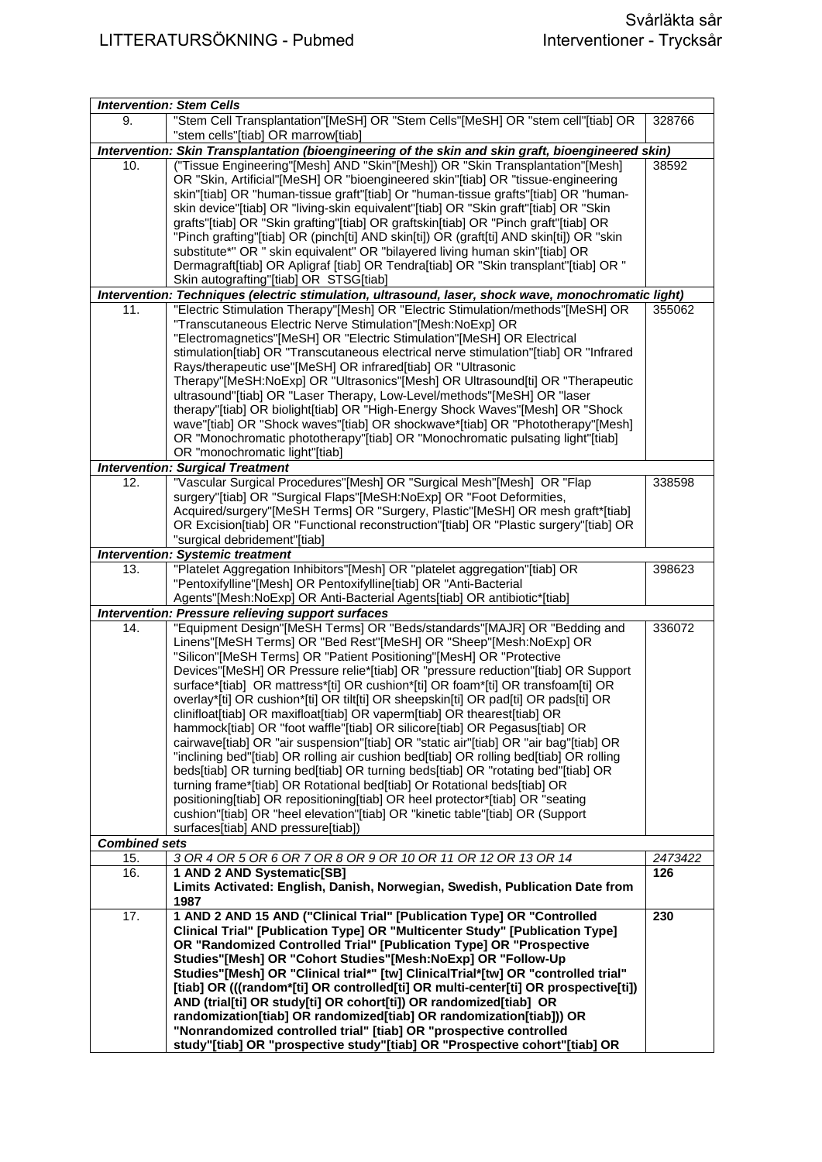|                      | <b>Intervention: Stem Cells</b>                                                                                                                                            |         |
|----------------------|----------------------------------------------------------------------------------------------------------------------------------------------------------------------------|---------|
| 9.                   | "Stem Cell Transplantation"[MeSH] OR "Stem Cells"[MeSH] OR "stem cell"[tiab] OR                                                                                            | 328766  |
|                      | "stem cells"[tiab] OR marrow[tiab]                                                                                                                                         |         |
|                      | Intervention: Skin Transplantation (bioengineering of the skin and skin graft, bioengineered skin)                                                                         |         |
| 10.                  | ("Tissue Engineering"[Mesh] AND "Skin"[Mesh]) OR "Skin Transplantation"[Mesh]                                                                                              | 38592   |
|                      | OR "Skin, Artificial"[MeSH] OR "bioengineered skin"[tiab] OR "tissue-engineering                                                                                           |         |
|                      | skin"[tiab] OR "human-tissue graft"[tiab] Or "human-tissue grafts"[tiab] OR "human-                                                                                        |         |
|                      |                                                                                                                                                                            |         |
|                      | skin device"[tiab] OR "living-skin equivalent"[tiab] OR "Skin graft"[tiab] OR "Skin<br>grafts"[tiab] OR "Skin grafting"[tiab] OR graftskin[tiab] OR "Pinch graft"[tiab] OR |         |
|                      | "Pinch grafting"[tiab] OR (pinch[ti] AND skin[ti]) OR (graft[ti] AND skin[ti]) OR "skin                                                                                    |         |
|                      | substitute*" OR " skin equivalent" OR "bilayered living human skin"[tiab] OR                                                                                               |         |
|                      | Dermagraft[tiab] OR Apligraf [tiab] OR Tendra[tiab] OR "Skin transplant"[tiab] OR "                                                                                        |         |
|                      | Skin autografting"[tiab] OR STSG[tiab]                                                                                                                                     |         |
|                      | Intervention: Techniques (electric stimulation, ultrasound, laser, shock wave, monochromatic light)                                                                        |         |
| 11.                  | "Electric Stimulation Therapy"[Mesh] OR "Electric Stimulation/methods"[MeSH] OR                                                                                            | 355062  |
|                      | "Transcutaneous Electric Nerve Stimulation"[Mesh:NoExp] OR                                                                                                                 |         |
|                      | "Electromagnetics"[MeSH] OR "Electric Stimulation"[MeSH] OR Electrical                                                                                                     |         |
|                      |                                                                                                                                                                            |         |
|                      | stimulation[tiab] OR "Transcutaneous electrical nerve stimulation"[tiab] OR "Infrared                                                                                      |         |
|                      | Rays/therapeutic use"[MeSH] OR infrared[tiab] OR "Ultrasonic                                                                                                               |         |
|                      | Therapy"[MeSH:NoExp] OR "Ultrasonics"[Mesh] OR Ultrasound[ti] OR "Therapeutic                                                                                              |         |
|                      | ultrasound"[tiab] OR "Laser Therapy, Low-Level/methods"[MeSH] OR "laser                                                                                                    |         |
|                      | therapy"[tiab] OR biolight[tiab] OR "High-Energy Shock Waves"[Mesh] OR "Shock                                                                                              |         |
|                      | wave"[tiab] OR "Shock waves"[tiab] OR shockwave*[tiab] OR "Phototherapy"[Mesh]                                                                                             |         |
|                      | OR "Monochromatic phototherapy"[tiab] OR "Monochromatic pulsating light"[tiab]                                                                                             |         |
|                      | OR "monochromatic light"[tiab]                                                                                                                                             |         |
|                      | <b>Intervention: Surgical Treatment</b>                                                                                                                                    |         |
| 12.                  | "Vascular Surgical Procedures"[Mesh] OR "Surgical Mesh"[Mesh] OR "Flap                                                                                                     | 338598  |
|                      | surgery"[tiab] OR "Surgical Flaps"[MeSH:NoExp] OR "Foot Deformities,                                                                                                       |         |
|                      | Acquired/surgery"[MeSH Terms] OR "Surgery, Plastic"[MeSH] OR mesh graft*[tiab]                                                                                             |         |
|                      | OR Excision[tiab] OR "Functional reconstruction"[tiab] OR "Plastic surgery"[tiab] OR                                                                                       |         |
|                      | "surgical debridement"[tiab]                                                                                                                                               |         |
|                      | <b>Intervention: Systemic treatment</b>                                                                                                                                    |         |
| 13.                  | "Platelet Aggregation Inhibitors"[Mesh] OR "platelet aggregation"[tiab] OR                                                                                                 | 398623  |
|                      | "Pentoxifylline"[Mesh] OR Pentoxifylline[tiab] OR "Anti-Bacterial                                                                                                          |         |
|                      | Agents"[Mesh:NoExp] OR Anti-Bacterial Agents[tiab] OR antibiotic*[tiab]                                                                                                    |         |
|                      | <b>Intervention: Pressure relieving support surfaces</b>                                                                                                                   |         |
| 14.                  | "Equipment Design"[MeSH Terms] OR "Beds/standards"[MAJR] OR "Bedding and                                                                                                   | 336072  |
|                      | Linens"[MeSH Terms] OR "Bed Rest"[MeSH] OR "Sheep"[Mesh:NoExp] OR                                                                                                          |         |
|                      | "Silicon"[MeSH Terms] OR "Patient Positioning"[MesH] OR "Protective                                                                                                        |         |
|                      | Devices"[MeSH] OR Pressure relie*[tiab] OR "pressure reduction"[tiab] OR Support                                                                                           |         |
|                      | surface*[tiab] OR mattress*[ti] OR cushion*[ti] OR foam*[ti] OR transfoam[ti] OR                                                                                           |         |
|                      | overlay*[ti] OR cushion*[ti] OR tilt[ti] OR sheepskin[ti] OR pad[ti] OR pads[ti] OR                                                                                        |         |
|                      | clinifloat[tiab] OR maxifloat[tiab] OR vaperm[tiab] OR thearest[tiab] OR                                                                                                   |         |
|                      | hammock[tiab] OR "foot waffle"[tiab] OR silicore[tiab] OR Pegasus[tiab] OR                                                                                                 |         |
|                      | cairwave[tiab] OR "air suspension"[tiab] OR "static air"[tiab] OR "air bag"[tiab] OR                                                                                       |         |
|                      | "inclining bed"[tiab] OR rolling air cushion bed[tiab] OR rolling bed[tiab] OR rolling                                                                                     |         |
|                      | beds[tiab] OR turning bed[tiab] OR turning beds[tiab] OR "rotating bed"[tiab] OR                                                                                           |         |
|                      | turning frame*[tiab] OR Rotational bed[tiab] Or Rotational beds[tiab] OR                                                                                                   |         |
|                      | positioning[tiab] OR repositioning[tiab] OR heel protector*[tiab] OR "seating                                                                                              |         |
|                      | cushion"[tiab] OR "heel elevation"[tiab] OR "kinetic table"[tiab] OR (Support                                                                                              |         |
|                      | surfaces[tiab] AND pressure[tiab])                                                                                                                                         |         |
| <b>Combined sets</b> |                                                                                                                                                                            |         |
| 15.                  | 3 OR 4 OR 5 OR 6 OR 7 OR 8 OR 9 OR 10 OR 11 OR 12 OR 13 OR 14                                                                                                              | 2473422 |
| 16.                  | 1 AND 2 AND Systematic[SB]                                                                                                                                                 | 126     |
|                      | Limits Activated: English, Danish, Norwegian, Swedish, Publication Date from                                                                                               |         |
|                      | 1987                                                                                                                                                                       |         |
| 17.                  | 1 AND 2 AND 15 AND ("Clinical Trial" [Publication Type] OR "Controlled                                                                                                     | 230     |
|                      | Clinical Trial" [Publication Type] OR "Multicenter Study" [Publication Type]                                                                                               |         |
|                      | OR "Randomized Controlled Trial" [Publication Type] OR "Prospective                                                                                                        |         |
|                      | Studies"[Mesh] OR "Cohort Studies"[Mesh:NoExp] OR "Follow-Up                                                                                                               |         |
|                      | Studies"[Mesh] OR "Clinical trial*" [tw] ClinicalTrial*[tw] OR "controlled trial"                                                                                          |         |
|                      | [tiab] OR (((random*[ti] OR controlled[ti] OR multi-center[ti] OR prospective[ti])                                                                                         |         |
|                      | AND (trial[ti] OR study[ti] OR cohort[ti]) OR randomized[tiab] OR                                                                                                          |         |
|                      | randomization[tiab] OR randomized[tiab] OR randomization[tiab])) OR                                                                                                        |         |
|                      | "Nonrandomized controlled trial" [tiab] OR "prospective controlled                                                                                                         |         |
|                      | study"[tiab] OR "prospective study"[tiab] OR "Prospective cohort"[tiab] OR                                                                                                 |         |